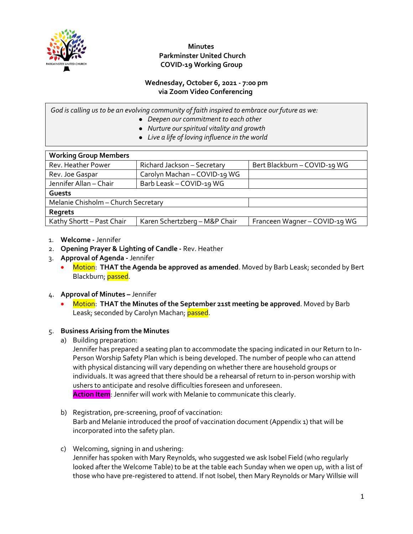

## **Minutes Parkminster United Church COVID-19 Working Group**

### **Wednesday, October 6, 2021 - 7:00 pm via Zoom Video Conferencing**

*God is calling us to be an evolving community of faith inspired to embrace our future as we:*

- *Deepen our commitment to each other*
- *Nurture our spiritual vitality and growth*
- *Live a life of loving influence in the world*

| <b>Working Group Members</b>        |                               |                               |  |
|-------------------------------------|-------------------------------|-------------------------------|--|
| Rev. Heather Power                  | Richard Jackson - Secretary   | Bert Blackburn - COVID-19 WG  |  |
| Rev. Joe Gaspar                     | Carolyn Machan - COVID-19 WG  |                               |  |
| Jennifer Allan - Chair              | Barb Leask - COVID-19 WG      |                               |  |
| Guests                              |                               |                               |  |
| Melanie Chisholm - Church Secretary |                               |                               |  |
| <b>Regrets</b>                      |                               |                               |  |
| Kathy Shortt - Past Chair           | Karen Schertzberg - M&P Chair | Franceen Wagner - COVID-19 WG |  |

- 1. **Welcome** Jennifer
- 2. **Opening Prayer & Lighting of Candle** Rev. Heather
- 3. **Approval of Agenda** Jennifer
	- Motion: **THAT the Agenda be approved as amended**. Moved by Barb Leask; seconded by Bert Blackburn; passed.
- 4. **Approval of Minutes** Jennifer
	- Motion: **THAT the Minutes of the September 21st meeting be approved**. Moved by Barb Leask; seconded by Carolyn Machan; passed.

### 5. **Business Arising from the Minutes**

a) Building preparation:

Jennifer has prepared a seating plan to accommodate the spacing indicated in our Return to In-Person Worship Safety Plan which is being developed. The number of people who can attend with physical distancing will vary depending on whether there are household groups or individuals. It was agreed that there should be a rehearsal of return to in-person worship with ushers to anticipate and resolve difficulties foreseen and unforeseen.

**Action Item**: Jennifer will work with Melanie to communicate this clearly.

- b) Registration, pre-screening, proof of vaccination: Barb and Melanie introduced the proof of vaccination document (Appendix 1) that will be incorporated into the safety plan.
- c) Welcoming, signing in and ushering: Jennifer has spoken with Mary Reynolds, who suggested we ask Isobel Field (who regularly looked after the Welcome Table) to be at the table each Sunday when we open up, with a list of those who have pre-registered to attend. If not Isobel, then Mary Reynolds or Mary Willsie will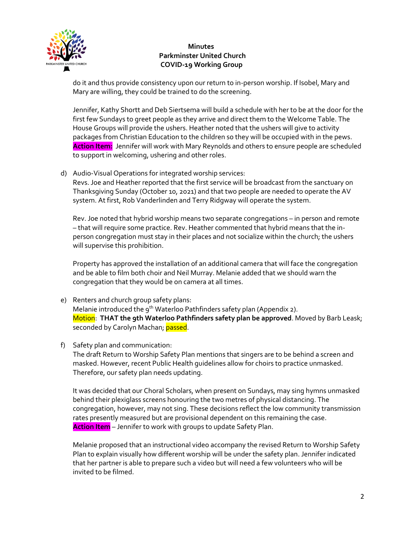

## **Minutes Parkminster United Church COVID-19 Working Group**

do it and thus provide consistency upon our return to in-person worship. If Isobel, Mary and Mary are willing, they could be trained to do the screening.

Jennifer, Kathy Shortt and Deb Siertsema will build a schedule with her to be at the door for the first few Sundays to greet people as they arrive and direct them to the Welcome Table. The House Groups will provide the ushers. Heather noted that the ushers will give to activity packages from Christian Education to the children so they will be occupied with in the pews. **Action Item:** Jennifer will work with Mary Reynolds and others to ensure people are scheduled to support in welcoming, ushering and other roles.

d) Audio-Visual Operations for integrated worship services:

Revs. Joe and Heather reported that the first service will be broadcast from the sanctuary on Thanksgiving Sunday (October 10, 2021) and that two people are needed to operate the AV system. At first, Rob Vanderlinden and Terry Ridgway will operate the system.

Rev. Joe noted that hybrid worship means two separate congregations – in person and remote – that will require some practice. Rev. Heather commented that hybrid means that the inperson congregation must stay in their places and not socialize within the church; the ushers will supervise this prohibition.

Property has approved the installation of an additional camera that will face the congregation and be able to film both choir and Neil Murray. Melanie added that we should warn the congregation that they would be on camera at all times.

- e) Renters and church group safety plans: Melanie introduced the  $q^{th}$  Waterloo Pathfinders safety plan (Appendix 2). Motion: **THAT the 9th Waterloo Pathfinders safety plan be approved**. Moved by Barb Leask; seconded by Carolyn Machan; passed.
- f) Safety plan and communication:

The draft Return to Worship Safety Plan mentions that singers are to be behind a screen and masked. However, recent Public Health guidelines allow for choirs to practice unmasked. Therefore, our safety plan needs updating.

It was decided that our Choral Scholars, when present on Sundays, may sing hymns unmasked behind their plexiglass screens honouring the two metres of physical distancing. The congregation, however, may not sing. These decisions reflect the low community transmission rates presently measured but are provisional dependent on this remaining the case. **Action Item** – Jennifer to work with groups to update Safety Plan.

Melanie proposed that an instructional video accompany the revised Return to Worship Safety Plan to explain visually how different worship will be under the safety plan. Jennifer indicated that her partner is able to prepare such a video but will need a few volunteers who will be invited to be filmed.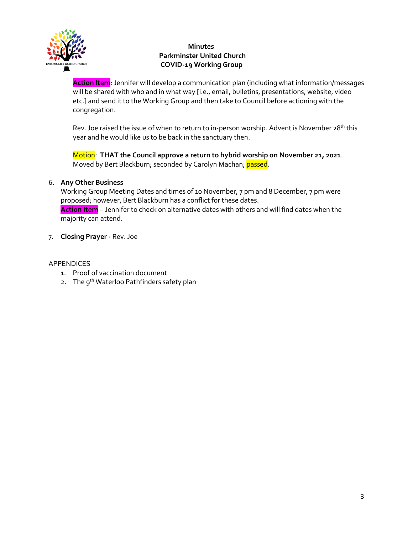

## **Minutes Parkminster United Church COVID-19 Working Group**

**Action Item**: Jennifer will develop a communication plan (including what information/messages will be shared with who and in what way [i.e., email, bulletins, presentations, website, video etc.] and send it to the Working Group and then take to Council before actioning with the congregation.

Rev. Joe raised the issue of when to return to in-person worship. Advent is November 28<sup>th</sup> this year and he would like us to be back in the sanctuary then.

Motion: **THAT the Council approve a return to hybrid worship on November 21, 2021**. Moved by Bert Blackburn; seconded by Carolyn Machan; passed.

## 6. **Any Other Business**

Working Group Meeting Dates and times of 10 November, 7 pm and 8 December, 7 pm were proposed; however, Bert Blackburn has a conflict for these dates.

**Action Item** – Jennifer to check on alternative dates with others and will find dates when the majority can attend.

7. **Closing Prayer -** Rev. Joe

## APPENDICES

- 1. Proof of vaccination document
- 2. The 9<sup>th</sup> Waterloo Pathfinders safety plan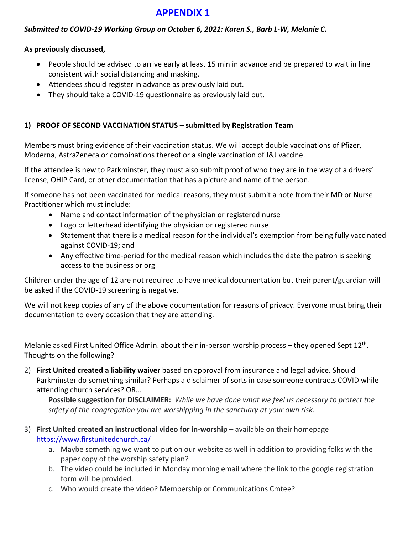# **APPENDIX 1**

## *Submitted to COVID-19 Working Group on October 6, 2021: Karen S., Barb L-W, Melanie C.*

### **As previously discussed,**

- People should be advised to arrive early at least 15 min in advance and be prepared to wait in line consistent with social distancing and masking.
- Attendees should register in advance as previously laid out.
- They should take a COVID-19 questionnaire as previously laid out.

## **1) PROOF OF SECOND VACCINATION STATUS – submitted by Registration Team**

Members must bring evidence of their vaccination status. We will accept double vaccinations of Pfizer, Moderna, AstraZeneca or combinations thereof or a single vaccination of J&J vaccine.

If the attendee is new to Parkminster, they must also submit proof of who they are in the way of a drivers' license, OHIP Card, or other documentation that has a picture and name of the person.

If someone has not been vaccinated for medical reasons, they must submit a note from their MD or Nurse Practitioner which must include:

- Name and contact information of the physician or registered nurse
- Logo or letterhead identifying the physician or registered nurse
- Statement that there is a medical reason for the individual's exemption from being fully vaccinated against COVID-19; and
- Any effective time-period for the medical reason which includes the date the patron is seeking access to the business or org

Children under the age of 12 are not required to have medical documentation but their parent/guardian will be asked if the COVID-19 screening is negative.

We will not keep copies of any of the above documentation for reasons of privacy. Everyone must bring their documentation to every occasion that they are attending.

Melanie asked First United Office Admin. about their in-person worship process – they opened Sept 12<sup>th</sup>. Thoughts on the following?

2) **First United created a liability waiver** based on approval from insurance and legal advice. Should Parkminster do something similar? Perhaps a disclaimer of sorts in case someone contracts COVID while attending church services? OR…

**Possible suggestion for DISCLAIMER:** *While we have done what we feel us necessary to protect the safety of the congregation you are worshipping in the sanctuary at your own risk.* 

- 3) **First United created an instructional video for in-worship** available on their homepage https://www.firstunitedchurch.ca/
	- a. Maybe something we want to put on our website as well in addition to providing folks with the paper copy of the worship safety plan?
	- b. The video could be included in Monday morning email where the link to the google registration form will be provided.
	- c. Who would create the video? Membership or Communications Cmtee?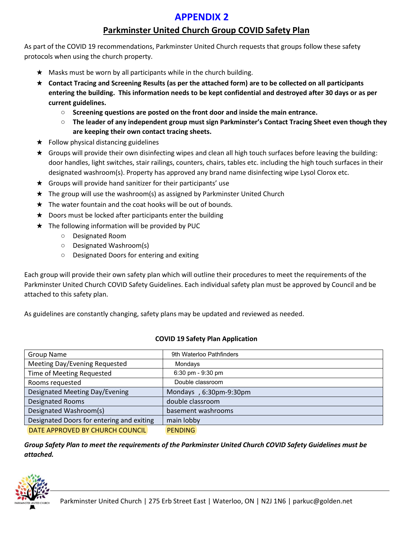# **APPENDIX 2**

## **Parkminster United Church Group COVID Safety Plan**

As part of the COVID 19 recommendations, Parkminster United Church requests that groups follow these safety protocols when using the church property.

- $\star$  Masks must be worn by all participants while in the church building.
- ★ **Contact Tracing and Screening Results (as per the attached form) are to be collected on all participants entering the building. This information needs to be kept confidential and destroyed after 30 days or as per current guidelines.**
	- **Screening questions are posted on the front door and inside the main entrance.**
	- **The leader of any independent group must sign Parkminster's Contact Tracing Sheet even though they are keeping their own contact tracing sheets.**
- $\star$  Follow physical distancing guidelines
- ★ Groups will provide their own disinfecting wipes and clean all high touch surfaces before leaving the building: door handles, light switches, stair railings, counters, chairs, tables etc. including the high touch surfaces in their designated washroom(s). Property has approved any brand name disinfecting wipe Lysol Clorox etc.
- $\star$  Groups will provide hand sanitizer for their participants' use
- ★ The group will use the washroom(s) as assigned by Parkminster United Church
- $\star$  The water fountain and the coat hooks will be out of bounds.
- $\star$  Doors must be locked after participants enter the building
- ★ The following information will be provided by PUC
	- Designated Room
	- Designated Washroom(s)
	- Designated Doors for entering and exiting

Each group will provide their own safety plan which will outline their procedures to meet the requirements of the Parkminster United Church COVID Safety Guidelines. Each individual safety plan must be approved by Council and be attached to this safety plan.

As guidelines are constantly changing, safety plans may be updated and reviewed as needed.

### **COVID 19 Safety Plan Application**

| <b>Group Name</b>                         | 9th Waterloo Pathfinders |
|-------------------------------------------|--------------------------|
| Meeting Day/Evening Requested             | Mondays                  |
| Time of Meeting Requested                 | $6:30$ pm - $9:30$ pm    |
| Rooms requested                           | Double classroom         |
| Designated Meeting Day/Evening            | Mondays, 6:30pm-9:30pm   |
| <b>Designated Rooms</b>                   | double classroom         |
| Designated Washroom(s)                    | basement washrooms       |
| Designated Doors for entering and exiting | main lobby               |
| DATE APPROVED BY CHURCH COUNCIL           | <b>PENDING</b>           |

*Group Safety Plan to meet the requirements of the Parkminster United Church COVID Safety Guidelines must be attached.* 

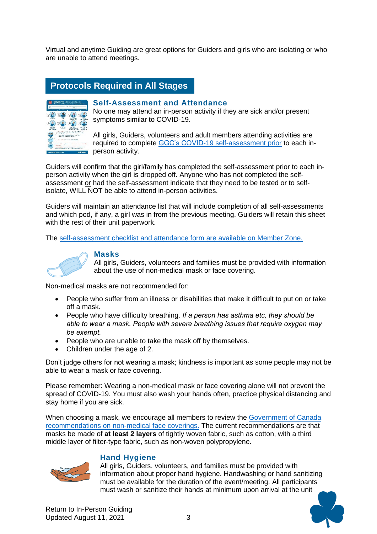Virtual and anytime Guiding are great options for Guiders and girls who are isolating or who are unable to attend meetings.

# **Protocols Required in All Stages**



#### **Self-Assessment and Attendance**

No one may attend an in-person activity if they are sick and/or present symptoms similar to COVID-19.

All girls, Guiders, volunteers and adult members attending activities are required to complete GGC's COVID-19 self-assessment prior to each inperson activity.

Guiders will confirm that the girl/family has completed the self-assessment prior to each inperson activity when the girl is dropped off. Anyone who has not completed the selfassessment or had the self-assessment indicate that they need to be tested or to selfisolate, WILL NOT be able to attend in-person activities.

Guiders will maintain an attendance list that will include completion of all self-assessments and which pod, if any, a girl was in from the previous meeting. Guiders will retain this sheet with the rest of their unit paperwork.

The self-assessment checklist and attendance form are available on Member Zone.



#### **Masks**

All girls, Guiders, volunteers and families must be provided with information about the use of non-medical mask or face covering.

Non-medical masks are not recommended for:

- People who suffer from an illness or disabilities that make it difficult to put on or take off a mask.
- People who have difficulty breathing. *If a person has asthma etc, they should be able to wear a mask. People with severe breathing issues that require oxygen may be exempt.*
- People who are unable to take the mask off by themselves.
- Children under the age of 2.

Don't judge others for not wearing a mask; kindness is important as some people may not be able to wear a mask or face covering.

Please remember: Wearing a non-medical mask or face covering alone will not prevent the spread of COVID-19. You must also wash your hands often, practice physical distancing and stay home if you are sick.

When choosing a mask, we encourage all members to review the Government of Canada recommendations on non-medical face coverings. The current recommendations are that masks be made of **at least 2 layers** of tightly woven fabric, such as cotton, with a third middle layer of filter-type fabric, such as non-woven polypropylene.



#### **Hand Hygiene**

All girls, Guiders, volunteers, and families must be provided with information about proper hand hygiene. Handwashing or hand sanitizing must be available for the duration of the event/meeting. All participants must wash or sanitize their hands at minimum upon arrival at the unit

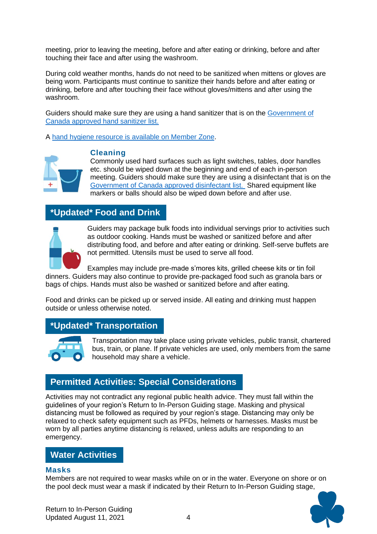meeting, prior to leaving the meeting, before and after eating or drinking, before and after touching their face and after using the washroom.

During cold weather months, hands do not need to be sanitized when mittens or gloves are being worn. Participants must continue to sanitize their hands before and after eating or drinking, before and after touching their face without gloves/mittens and after using the washroom.

Guiders should make sure they are using a hand sanitizer that is on the Government of Canada approved hand sanitizer list.

A hand hygiene resource is available on Member Zone.



### **Cleaning**

Commonly used hard surfaces such as light switches, tables, door handles etc. should be wiped down at the beginning and end of each in-person meeting. Guiders should make sure they are using a disinfectant that is on the Government of Canada approved disinfectant list. Shared equipment like markers or balls should also be wiped down before and after use.

# **\*Updated\* Food and Drink**



Guiders may package bulk foods into individual servings prior to activities such as outdoor cooking. Hands must be washed or sanitized before and after distributing food, and before and after eating or drinking. Self-serve buffets are not permitted. Utensils must be used to serve all food.

Examples may include pre-made s'mores kits, grilled cheese kits or tin foil dinners. Guiders may also continue to provide pre-packaged food such as granola bars or bags of chips. Hands must also be washed or sanitized before and after eating.

Food and drinks can be picked up or served inside. All eating and drinking must happen outside or unless otherwise noted.

## **\*Updated\* Transportation**



Transportation may take place using private vehicles, public transit, chartered bus, train, or plane. If private vehicles are used, only members from the same household may share a vehicle.

# **Permitted Activities: Special Considerations**

Activities may not contradict any regional public health advice. They must fall within the guidelines of your region's Return to In-Person Guiding stage. Masking and physical distancing must be followed as required by your region's stage. Distancing may only be relaxed to check safety equipment such as PFDs, helmets or harnesses. Masks must be worn by all parties anytime distancing is relaxed, unless adults are responding to an emergency.

## **Water Activities**

## **Masks**

Members are not required to wear masks while on or in the water. Everyone on shore or on the pool deck must wear a mask if indicated by their Return to In-Person Guiding stage,

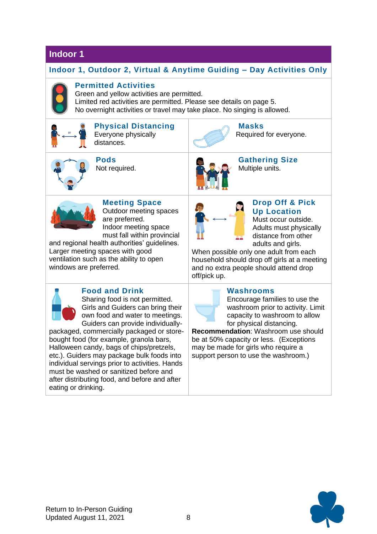## **Indoor 1**

## **Indoor 1, Outdoor 2, Virtual & Anytime Guiding – Day Activities Only**



## **Permitted Activities**

Green and yellow activities are permitted. Limited red activities are permitted. Please see details on page 5. No overnight activities or travel may take place. No singing is allowed.



# **Up Location** Must occur outside.

Adults must physically distance from other adults and girls.

When possible only one adult from each household should drop off girls at a meeting and no extra people should attend drop

Guiders can provide individually-

packaged, commercially packaged or storebought food (for example, granola bars, Halloween candy, bags of chips/pretzels, etc.). Guiders may package bulk foods into individual servings prior to activities. Hands must be washed or sanitized before and after distributing food, and before and after eating or drinking.

Encourage families to use the washroom prior to activity. Limit capacity to washroom to allow for physical distancing.

**Recommendation**: Washroom use should be at 50% capacity or less. (Exceptions may be made for girls who require a support person to use the washroom.)